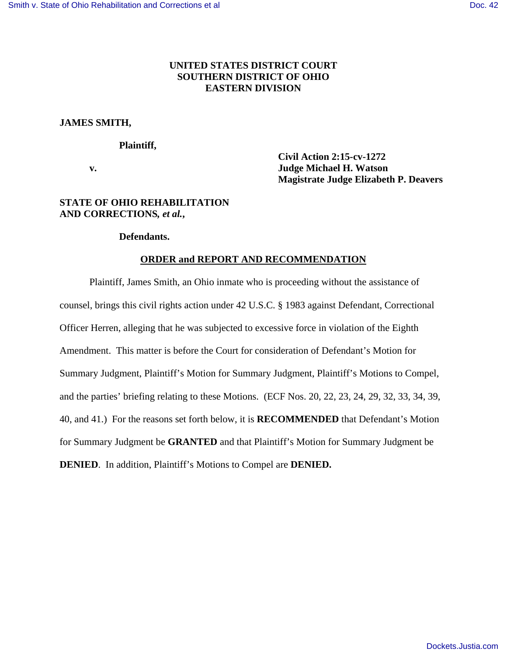# **UNITED STATES DISTRICT COURT SOUTHERN DISTRICT OF OHIO EASTERN DIVISION**

# **JAMES SMITH,**

## **Plaintiff,**

 **Civil Action 2:15-cv-1272 v. Judge Michael H. Watson Magistrate Judge Elizabeth P. Deavers** 

## **STATE OF OHIO REHABILITATION AND CORRECTIONS***, et al.***,**

### **Defendants.**

# **ORDER and REPORT AND RECOMMENDATION**

Plaintiff, James Smith, an Ohio inmate who is proceeding without the assistance of counsel, brings this civil rights action under 42 U.S.C. § 1983 against Defendant, Correctional Officer Herren, alleging that he was subjected to excessive force in violation of the Eighth Amendment. This matter is before the Court for consideration of Defendant's Motion for Summary Judgment, Plaintiff's Motion for Summary Judgment, Plaintiff's Motions to Compel, and the parties' briefing relating to these Motions. (ECF Nos. 20, 22, 23, 24, 29, 32, 33, 34, 39, 40, and 41.) For the reasons set forth below, it is **RECOMMENDED** that Defendant's Motion for Summary Judgment be **GRANTED** and that Plaintiff's Motion for Summary Judgment be **DENIED**. In addition, Plaintiff's Motions to Compel are **DENIED.**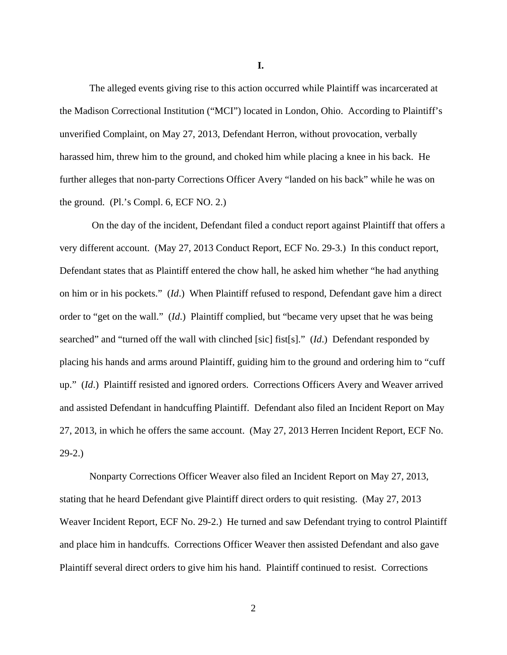The alleged events giving rise to this action occurred while Plaintiff was incarcerated at the Madison Correctional Institution ("MCI") located in London, Ohio. According to Plaintiff's unverified Complaint, on May 27, 2013, Defendant Herron, without provocation, verbally harassed him, threw him to the ground, and choked him while placing a knee in his back. He further alleges that non-party Corrections Officer Avery "landed on his back" while he was on the ground. (Pl.'s Compl. 6, ECF NO. 2.)

 On the day of the incident, Defendant filed a conduct report against Plaintiff that offers a very different account. (May 27, 2013 Conduct Report, ECF No. 29-3.) In this conduct report, Defendant states that as Plaintiff entered the chow hall, he asked him whether "he had anything on him or in his pockets." (*Id*.) When Plaintiff refused to respond, Defendant gave him a direct order to "get on the wall." (*Id*.) Plaintiff complied, but "became very upset that he was being searched" and "turned off the wall with clinched [sic] fist[s]." (*Id*.) Defendant responded by placing his hands and arms around Plaintiff, guiding him to the ground and ordering him to "cuff up." (*Id*.) Plaintiff resisted and ignored orders. Corrections Officers Avery and Weaver arrived and assisted Defendant in handcuffing Plaintiff. Defendant also filed an Incident Report on May 27, 2013, in which he offers the same account. (May 27, 2013 Herren Incident Report, ECF No. 29-2.)

Nonparty Corrections Officer Weaver also filed an Incident Report on May 27, 2013, stating that he heard Defendant give Plaintiff direct orders to quit resisting. (May 27, 2013 Weaver Incident Report, ECF No. 29-2.) He turned and saw Defendant trying to control Plaintiff and place him in handcuffs. Corrections Officer Weaver then assisted Defendant and also gave Plaintiff several direct orders to give him his hand. Plaintiff continued to resist. Corrections

**I.**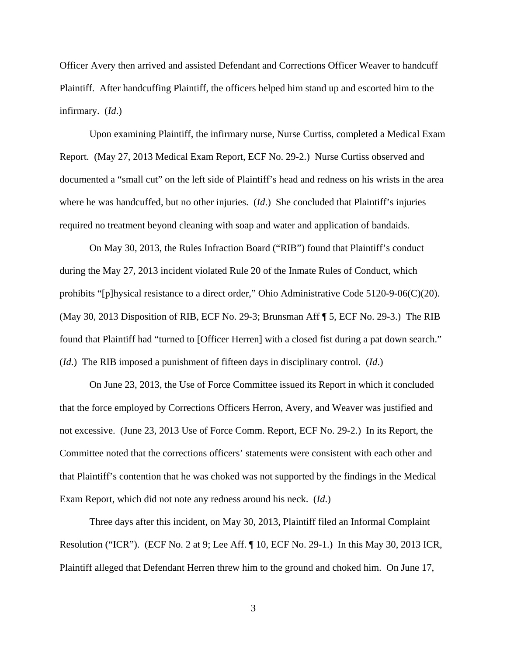Officer Avery then arrived and assisted Defendant and Corrections Officer Weaver to handcuff Plaintiff. After handcuffing Plaintiff, the officers helped him stand up and escorted him to the infirmary. (*Id*.)

Upon examining Plaintiff, the infirmary nurse, Nurse Curtiss, completed a Medical Exam Report. (May 27, 2013 Medical Exam Report, ECF No. 29-2.) Nurse Curtiss observed and documented a "small cut" on the left side of Plaintiff's head and redness on his wrists in the area where he was handcuffed, but no other injuries. (*Id.*) She concluded that Plaintiff's injuries required no treatment beyond cleaning with soap and water and application of bandaids.

On May 30, 2013, the Rules Infraction Board ("RIB") found that Plaintiff's conduct during the May 27, 2013 incident violated Rule 20 of the Inmate Rules of Conduct, which prohibits "[p]hysical resistance to a direct order," Ohio Administrative Code 5120-9-06(C)(20). (May 30, 2013 Disposition of RIB, ECF No. 29-3; Brunsman Aff ¶ 5, ECF No. 29-3.) The RIB found that Plaintiff had "turned to [Officer Herren] with a closed fist during a pat down search." (*Id*.) The RIB imposed a punishment of fifteen days in disciplinary control. (*Id*.)

On June 23, 2013, the Use of Force Committee issued its Report in which it concluded that the force employed by Corrections Officers Herron, Avery, and Weaver was justified and not excessive. (June 23, 2013 Use of Force Comm. Report, ECF No. 29-2.) In its Report, the Committee noted that the corrections officers' statements were consistent with each other and that Plaintiff's contention that he was choked was not supported by the findings in the Medical Exam Report, which did not note any redness around his neck. (*Id*.)

Three days after this incident, on May 30, 2013, Plaintiff filed an Informal Complaint Resolution ("ICR"). (ECF No. 2 at 9; Lee Aff. ¶ 10, ECF No. 29-1.) In this May 30, 2013 ICR, Plaintiff alleged that Defendant Herren threw him to the ground and choked him. On June 17,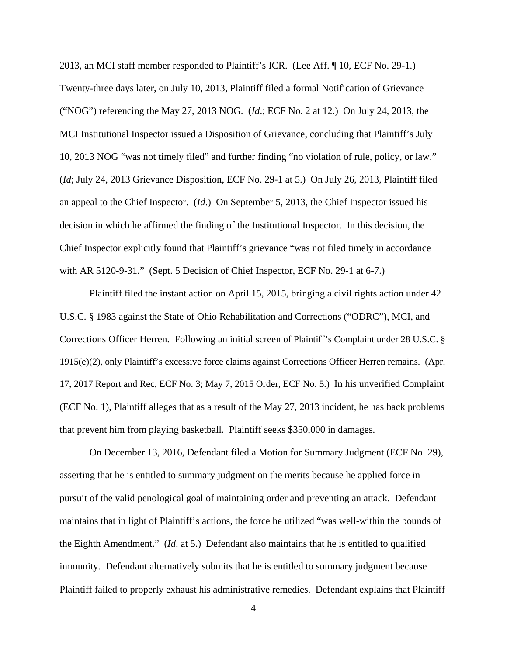2013, an MCI staff member responded to Plaintiff's ICR. (Lee Aff. ¶ 10, ECF No. 29-1.) Twenty-three days later, on July 10, 2013, Plaintiff filed a formal Notification of Grievance ("NOG") referencing the May 27, 2013 NOG. (*Id*.; ECF No. 2 at 12.) On July 24, 2013, the MCI Institutional Inspector issued a Disposition of Grievance, concluding that Plaintiff's July 10, 2013 NOG "was not timely filed" and further finding "no violation of rule, policy, or law." (*Id*; July 24, 2013 Grievance Disposition, ECF No. 29-1 at 5.) On July 26, 2013, Plaintiff filed an appeal to the Chief Inspector. (*Id*.) On September 5, 2013, the Chief Inspector issued his decision in which he affirmed the finding of the Institutional Inspector. In this decision, the Chief Inspector explicitly found that Plaintiff's grievance "was not filed timely in accordance with AR 5120-9-31." (Sept. 5 Decision of Chief Inspector, ECF No. 29-1 at 6-7.)

Plaintiff filed the instant action on April 15, 2015, bringing a civil rights action under 42 U.S.C. § 1983 against the State of Ohio Rehabilitation and Corrections ("ODRC"), MCI, and Corrections Officer Herren. Following an initial screen of Plaintiff's Complaint under 28 U.S.C. § 1915(e)(2), only Plaintiff's excessive force claims against Corrections Officer Herren remains. (Apr. 17, 2017 Report and Rec, ECF No. 3; May 7, 2015 Order, ECF No. 5.) In his unverified Complaint (ECF No. 1), Plaintiff alleges that as a result of the May 27, 2013 incident, he has back problems that prevent him from playing basketball. Plaintiff seeks \$350,000 in damages.

On December 13, 2016, Defendant filed a Motion for Summary Judgment (ECF No. 29), asserting that he is entitled to summary judgment on the merits because he applied force in pursuit of the valid penological goal of maintaining order and preventing an attack. Defendant maintains that in light of Plaintiff's actions, the force he utilized "was well-within the bounds of the Eighth Amendment." (*Id*. at 5.) Defendant also maintains that he is entitled to qualified immunity. Defendant alternatively submits that he is entitled to summary judgment because Plaintiff failed to properly exhaust his administrative remedies. Defendant explains that Plaintiff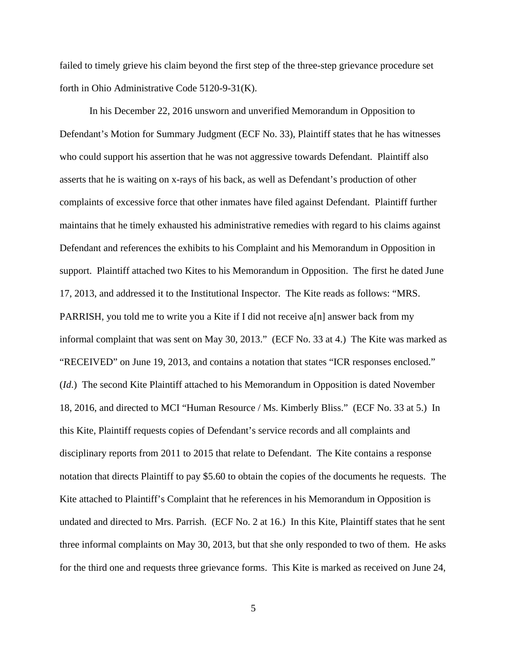failed to timely grieve his claim beyond the first step of the three-step grievance procedure set forth in Ohio Administrative Code 5120-9-31(K).

In his December 22, 2016 unsworn and unverified Memorandum in Opposition to Defendant's Motion for Summary Judgment (ECF No. 33), Plaintiff states that he has witnesses who could support his assertion that he was not aggressive towards Defendant. Plaintiff also asserts that he is waiting on x-rays of his back, as well as Defendant's production of other complaints of excessive force that other inmates have filed against Defendant. Plaintiff further maintains that he timely exhausted his administrative remedies with regard to his claims against Defendant and references the exhibits to his Complaint and his Memorandum in Opposition in support. Plaintiff attached two Kites to his Memorandum in Opposition. The first he dated June 17, 2013, and addressed it to the Institutional Inspector. The Kite reads as follows: "MRS. PARRISH, you told me to write you a Kite if I did not receive a[n] answer back from my informal complaint that was sent on May 30, 2013." (ECF No. 33 at 4.) The Kite was marked as "RECEIVED" on June 19, 2013, and contains a notation that states "ICR responses enclosed." (*Id*.) The second Kite Plaintiff attached to his Memorandum in Opposition is dated November 18, 2016, and directed to MCI "Human Resource / Ms. Kimberly Bliss." (ECF No. 33 at 5.) In this Kite, Plaintiff requests copies of Defendant's service records and all complaints and disciplinary reports from 2011 to 2015 that relate to Defendant. The Kite contains a response notation that directs Plaintiff to pay \$5.60 to obtain the copies of the documents he requests. The Kite attached to Plaintiff's Complaint that he references in his Memorandum in Opposition is undated and directed to Mrs. Parrish. (ECF No. 2 at 16.) In this Kite, Plaintiff states that he sent three informal complaints on May 30, 2013, but that she only responded to two of them. He asks for the third one and requests three grievance forms. This Kite is marked as received on June 24,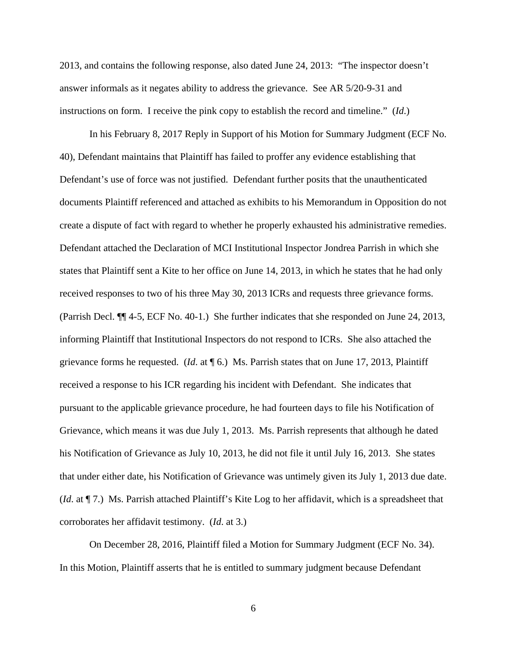2013, and contains the following response, also dated June 24, 2013: "The inspector doesn't answer informals as it negates ability to address the grievance. See AR 5/20-9-31 and instructions on form. I receive the pink copy to establish the record and timeline." (*Id*.)

In his February 8, 2017 Reply in Support of his Motion for Summary Judgment (ECF No. 40), Defendant maintains that Plaintiff has failed to proffer any evidence establishing that Defendant's use of force was not justified. Defendant further posits that the unauthenticated documents Plaintiff referenced and attached as exhibits to his Memorandum in Opposition do not create a dispute of fact with regard to whether he properly exhausted his administrative remedies. Defendant attached the Declaration of MCI Institutional Inspector Jondrea Parrish in which she states that Plaintiff sent a Kite to her office on June 14, 2013, in which he states that he had only received responses to two of his three May 30, 2013 ICRs and requests three grievance forms. (Parrish Decl. ¶¶ 4-5, ECF No. 40-1.) She further indicates that she responded on June 24, 2013, informing Plaintiff that Institutional Inspectors do not respond to ICRs. She also attached the grievance forms he requested. (*Id*. at ¶ 6.) Ms. Parrish states that on June 17, 2013, Plaintiff received a response to his ICR regarding his incident with Defendant. She indicates that pursuant to the applicable grievance procedure, he had fourteen days to file his Notification of Grievance, which means it was due July 1, 2013. Ms. Parrish represents that although he dated his Notification of Grievance as July 10, 2013, he did not file it until July 16, 2013. She states that under either date, his Notification of Grievance was untimely given its July 1, 2013 due date. (*Id*. at ¶ 7.) Ms. Parrish attached Plaintiff's Kite Log to her affidavit, which is a spreadsheet that corroborates her affidavit testimony. (*Id*. at 3.)

On December 28, 2016, Plaintiff filed a Motion for Summary Judgment (ECF No. 34). In this Motion, Plaintiff asserts that he is entitled to summary judgment because Defendant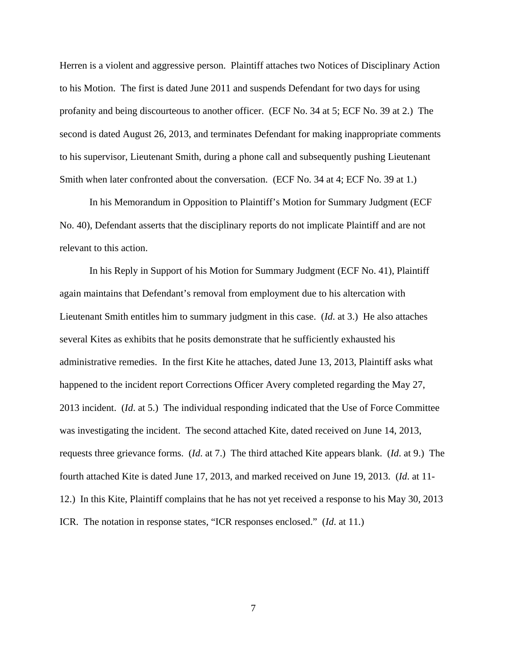Herren is a violent and aggressive person. Plaintiff attaches two Notices of Disciplinary Action to his Motion. The first is dated June 2011 and suspends Defendant for two days for using profanity and being discourteous to another officer. (ECF No. 34 at 5; ECF No. 39 at 2.) The second is dated August 26, 2013, and terminates Defendant for making inappropriate comments to his supervisor, Lieutenant Smith, during a phone call and subsequently pushing Lieutenant Smith when later confronted about the conversation. (ECF No. 34 at 4; ECF No. 39 at 1.)

In his Memorandum in Opposition to Plaintiff's Motion for Summary Judgment (ECF No. 40), Defendant asserts that the disciplinary reports do not implicate Plaintiff and are not relevant to this action.

In his Reply in Support of his Motion for Summary Judgment (ECF No. 41), Plaintiff again maintains that Defendant's removal from employment due to his altercation with Lieutenant Smith entitles him to summary judgment in this case. (*Id*. at 3.) He also attaches several Kites as exhibits that he posits demonstrate that he sufficiently exhausted his administrative remedies. In the first Kite he attaches, dated June 13, 2013, Plaintiff asks what happened to the incident report Corrections Officer Avery completed regarding the May 27, 2013 incident. (*Id*. at 5.) The individual responding indicated that the Use of Force Committee was investigating the incident. The second attached Kite, dated received on June 14, 2013, requests three grievance forms. (*Id*. at 7.) The third attached Kite appears blank. (*Id*. at 9.) The fourth attached Kite is dated June 17, 2013, and marked received on June 19, 2013. (*Id*. at 11- 12.) In this Kite, Plaintiff complains that he has not yet received a response to his May 30, 2013 ICR. The notation in response states, "ICR responses enclosed." (*Id*. at 11.)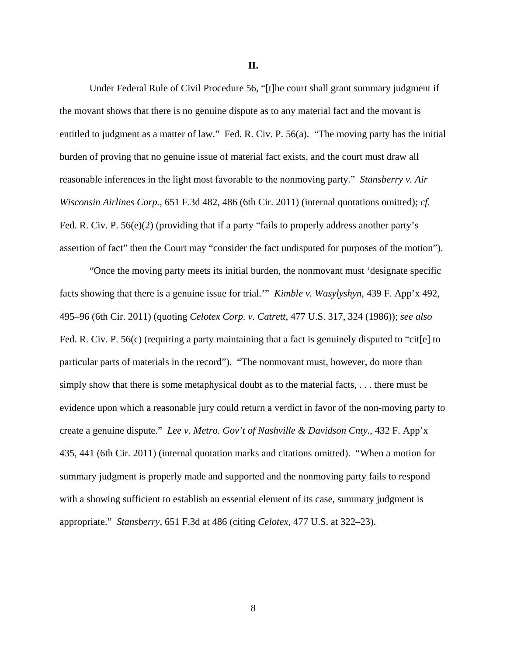**II.**

Under Federal Rule of Civil Procedure 56, "[t]he court shall grant summary judgment if the movant shows that there is no genuine dispute as to any material fact and the movant is entitled to judgment as a matter of law." Fed. R. Civ. P. 56(a). "The moving party has the initial burden of proving that no genuine issue of material fact exists, and the court must draw all reasonable inferences in the light most favorable to the nonmoving party." *Stansberry v. Air Wisconsin Airlines Corp.*, 651 F.3d 482, 486 (6th Cir. 2011) (internal quotations omitted); *cf.*  Fed. R. Civ. P. 56(e)(2) (providing that if a party "fails to properly address another party's assertion of fact" then the Court may "consider the fact undisputed for purposes of the motion").

 "Once the moving party meets its initial burden, the nonmovant must 'designate specific facts showing that there is a genuine issue for trial.'" *Kimble v. Wasylyshyn*, 439 F. App'x 492, 495–96 (6th Cir. 2011) (quoting *Celotex Corp. v. Catrett*, 477 U.S. 317, 324 (1986)); *see also*  Fed. R. Civ. P. 56(c) (requiring a party maintaining that a fact is genuinely disputed to "cit[e] to particular parts of materials in the record"). "The nonmovant must, however, do more than simply show that there is some metaphysical doubt as to the material facts, . . . there must be evidence upon which a reasonable jury could return a verdict in favor of the non-moving party to create a genuine dispute." *Lee v. Metro. Gov't of Nashville & Davidson Cnty.*, 432 F. App'x 435, 441 (6th Cir. 2011) (internal quotation marks and citations omitted). "When a motion for summary judgment is properly made and supported and the nonmoving party fails to respond with a showing sufficient to establish an essential element of its case, summary judgment is appropriate." *Stansberry*, 651 F.3d at 486 (citing *Celotex*, 477 U.S. at 322–23).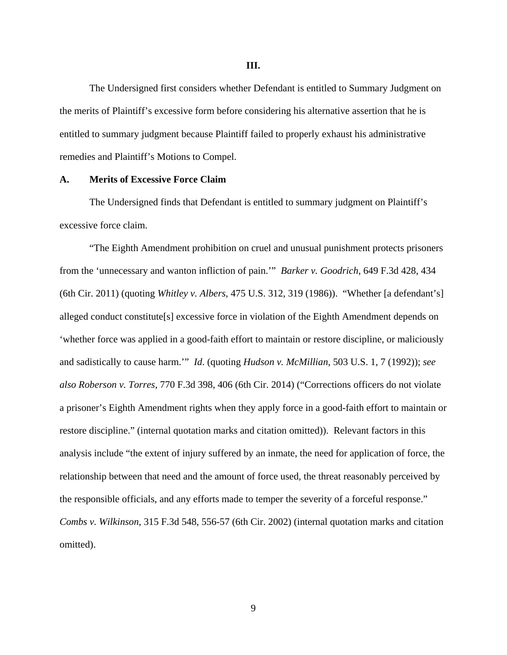The Undersigned first considers whether Defendant is entitled to Summary Judgment on the merits of Plaintiff's excessive form before considering his alternative assertion that he is

entitled to summary judgment because Plaintiff failed to properly exhaust his administrative remedies and Plaintiff's Motions to Compel.

#### **A. Merits of Excessive Force Claim**

The Undersigned finds that Defendant is entitled to summary judgment on Plaintiff's excessive force claim.

 "The Eighth Amendment prohibition on cruel and unusual punishment protects prisoners from the 'unnecessary and wanton infliction of pain.'" *Barker v. Goodrich*, 649 F.3d 428, 434 (6th Cir. 2011) (quoting *Whitley v. Albers*, 475 U.S. 312, 319 (1986)). "Whether [a defendant's] alleged conduct constitute[s] excessive force in violation of the Eighth Amendment depends on 'whether force was applied in a good-faith effort to maintain or restore discipline, or maliciously and sadistically to cause harm.'" *Id*. (quoting *Hudson v. McMillian*, 503 U.S. 1, 7 (1992)); *see also Roberson v. Torres*, 770 F.3d 398, 406 (6th Cir. 2014) ("Corrections officers do not violate a prisoner's Eighth Amendment rights when they apply force in a good-faith effort to maintain or restore discipline." (internal quotation marks and citation omitted)). Relevant factors in this analysis include "the extent of injury suffered by an inmate, the need for application of force, the relationship between that need and the amount of force used, the threat reasonably perceived by the responsible officials, and any efforts made to temper the severity of a forceful response." *Combs v. Wilkinson*, 315 F.3d 548, 556-57 (6th Cir. 2002) (internal quotation marks and citation omitted).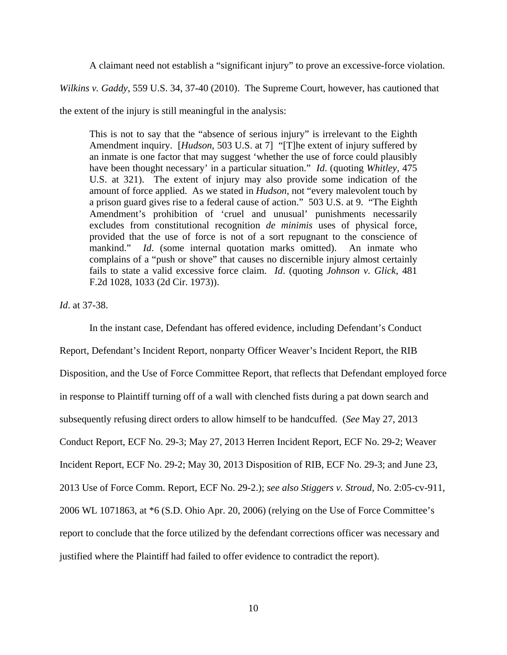A claimant need not establish a "significant injury" to prove an excessive-force violation.

*Wilkins v. Gaddy*, 559 U.S. 34, 37-40 (2010). The Supreme Court, however, has cautioned that

the extent of the injury is still meaningful in the analysis:

This is not to say that the "absence of serious injury" is irrelevant to the Eighth Amendment inquiry. [*Hudson*, 503 U.S. at 7] "[T]he extent of injury suffered by an inmate is one factor that may suggest 'whether the use of force could plausibly have been thought necessary' in a particular situation." *Id*. (quoting *Whitley*, 475 U.S. at 321). The extent of injury may also provide some indication of the amount of force applied. As we stated in *Hudson*, not "every malevolent touch by a prison guard gives rise to a federal cause of action." 503 U.S. at 9. "The Eighth Amendment's prohibition of 'cruel and unusual' punishments necessarily excludes from constitutional recognition *de minimis* uses of physical force, provided that the use of force is not of a sort repugnant to the conscience of mankind." *Id*. (some internal quotation marks omitted). An inmate who complains of a "push or shove" that causes no discernible injury almost certainly fails to state a valid excessive force claim. *Id*. (quoting *Johnson v. Glick*, 481 F.2d 1028, 1033 (2d Cir. 1973)).

*Id*. at 37-38.

 In the instant case, Defendant has offered evidence, including Defendant's Conduct Report, Defendant's Incident Report, nonparty Officer Weaver's Incident Report, the RIB Disposition, and the Use of Force Committee Report, that reflects that Defendant employed force in response to Plaintiff turning off of a wall with clenched fists during a pat down search and subsequently refusing direct orders to allow himself to be handcuffed. (*See* May 27, 2013 Conduct Report, ECF No. 29-3; May 27, 2013 Herren Incident Report, ECF No. 29-2; Weaver Incident Report, ECF No. 29-2; May 30, 2013 Disposition of RIB, ECF No. 29-3; and June 23, 2013 Use of Force Comm. Report, ECF No. 29-2.); *see also Stiggers v. Stroud*, No. 2:05-cv-911, 2006 WL 1071863, at \*6 (S.D. Ohio Apr. 20, 2006) (relying on the Use of Force Committee's report to conclude that the force utilized by the defendant corrections officer was necessary and justified where the Plaintiff had failed to offer evidence to contradict the report).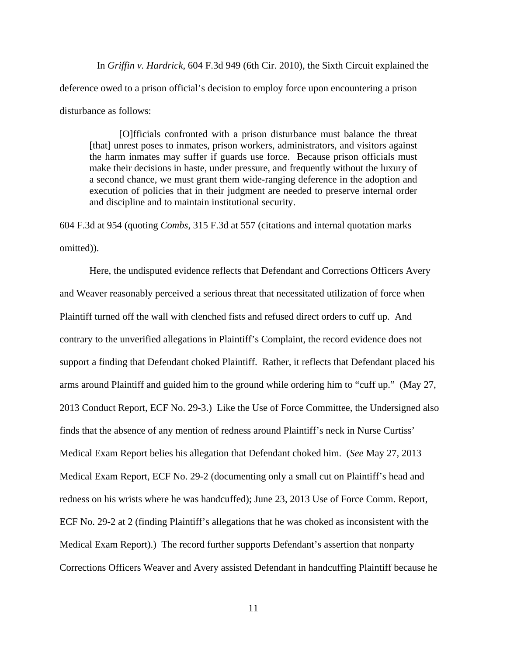In *Griffin v. Hardrick*, 604 F.3d 949 (6th Cir. 2010), the Sixth Circuit explained the deference owed to a prison official's decision to employ force upon encountering a prison disturbance as follows:

[O]fficials confronted with a prison disturbance must balance the threat [that] unrest poses to inmates, prison workers, administrators, and visitors against the harm inmates may suffer if guards use force. Because prison officials must make their decisions in haste, under pressure, and frequently without the luxury of a second chance, we must grant them wide-ranging deference in the adoption and execution of policies that in their judgment are needed to preserve internal order and discipline and to maintain institutional security.

604 F.3d at 954 (quoting *Combs*, 315 F.3d at 557 (citations and internal quotation marks omitted)).

Here, the undisputed evidence reflects that Defendant and Corrections Officers Avery and Weaver reasonably perceived a serious threat that necessitated utilization of force when Plaintiff turned off the wall with clenched fists and refused direct orders to cuff up. And contrary to the unverified allegations in Plaintiff's Complaint, the record evidence does not support a finding that Defendant choked Plaintiff. Rather, it reflects that Defendant placed his arms around Plaintiff and guided him to the ground while ordering him to "cuff up." (May 27, 2013 Conduct Report, ECF No. 29-3.) Like the Use of Force Committee, the Undersigned also finds that the absence of any mention of redness around Plaintiff's neck in Nurse Curtiss' Medical Exam Report belies his allegation that Defendant choked him. (*See* May 27, 2013 Medical Exam Report, ECF No. 29-2 (documenting only a small cut on Plaintiff's head and redness on his wrists where he was handcuffed); June 23, 2013 Use of Force Comm. Report, ECF No. 29-2 at 2 (finding Plaintiff's allegations that he was choked as inconsistent with the Medical Exam Report).) The record further supports Defendant's assertion that nonparty Corrections Officers Weaver and Avery assisted Defendant in handcuffing Plaintiff because he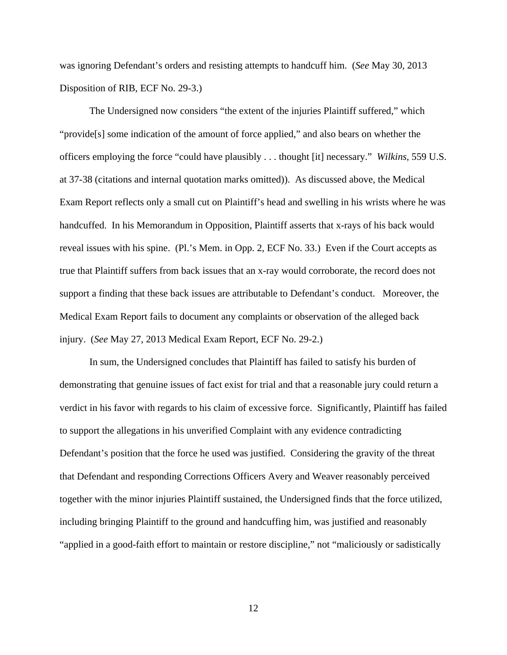was ignoring Defendant's orders and resisting attempts to handcuff him. (*See* May 30, 2013 Disposition of RIB, ECF No. 29-3.)

The Undersigned now considers "the extent of the injuries Plaintiff suffered," which "provide[s] some indication of the amount of force applied," and also bears on whether the officers employing the force "could have plausibly . . . thought [it] necessary." *Wilkins*, 559 U.S. at 37-38 (citations and internal quotation marks omitted)). As discussed above, the Medical Exam Report reflects only a small cut on Plaintiff's head and swelling in his wrists where he was handcuffed. In his Memorandum in Opposition, Plaintiff asserts that x-rays of his back would reveal issues with his spine. (Pl.'s Mem. in Opp. 2, ECF No. 33.) Even if the Court accepts as true that Plaintiff suffers from back issues that an x-ray would corroborate, the record does not support a finding that these back issues are attributable to Defendant's conduct. Moreover, the Medical Exam Report fails to document any complaints or observation of the alleged back injury. (*See* May 27, 2013 Medical Exam Report, ECF No. 29-2.)

In sum, the Undersigned concludes that Plaintiff has failed to satisfy his burden of demonstrating that genuine issues of fact exist for trial and that a reasonable jury could return a verdict in his favor with regards to his claim of excessive force. Significantly, Plaintiff has failed to support the allegations in his unverified Complaint with any evidence contradicting Defendant's position that the force he used was justified. Considering the gravity of the threat that Defendant and responding Corrections Officers Avery and Weaver reasonably perceived together with the minor injuries Plaintiff sustained, the Undersigned finds that the force utilized, including bringing Plaintiff to the ground and handcuffing him, was justified and reasonably "applied in a good-faith effort to maintain or restore discipline," not "maliciously or sadistically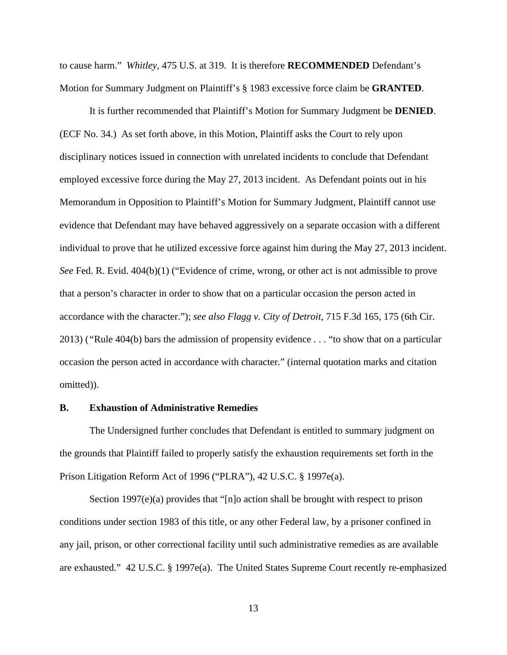to cause harm." *Whitley*, 475 U.S. at 319. It is therefore **RECOMMENDED** Defendant's Motion for Summary Judgment on Plaintiff's § 1983 excessive force claim be **GRANTED**.

It is further recommended that Plaintiff's Motion for Summary Judgment be **DENIED**. (ECF No. 34.) As set forth above, in this Motion, Plaintiff asks the Court to rely upon disciplinary notices issued in connection with unrelated incidents to conclude that Defendant employed excessive force during the May 27, 2013 incident. As Defendant points out in his Memorandum in Opposition to Plaintiff's Motion for Summary Judgment, Plaintiff cannot use evidence that Defendant may have behaved aggressively on a separate occasion with a different individual to prove that he utilized excessive force against him during the May 27, 2013 incident. *See* Fed. R. Evid. 404(b)(1) ("Evidence of crime, wrong, or other act is not admissible to prove that a person's character in order to show that on a particular occasion the person acted in accordance with the character."); *see also Flagg v. City of Detroit*, 715 F.3d 165, 175 (6th Cir. 2013) (*"*Rule 404(b) bars the admission of propensity evidence . . . "to show that on a particular occasion the person acted in accordance with character." (internal quotation marks and citation omitted)).

## **B. Exhaustion of Administrative Remedies**

The Undersigned further concludes that Defendant is entitled to summary judgment on the grounds that Plaintiff failed to properly satisfy the exhaustion requirements set forth in the Prison Litigation Reform Act of 1996 ("PLRA"), 42 U.S.C. § 1997e(a).

Section 1997(e)(a) provides that "[n]o action shall be brought with respect to prison conditions under section 1983 of this title, or any other Federal law, by a prisoner confined in any jail, prison, or other correctional facility until such administrative remedies as are available are exhausted." 42 U.S.C. § 1997e(a). The United States Supreme Court recently re-emphasized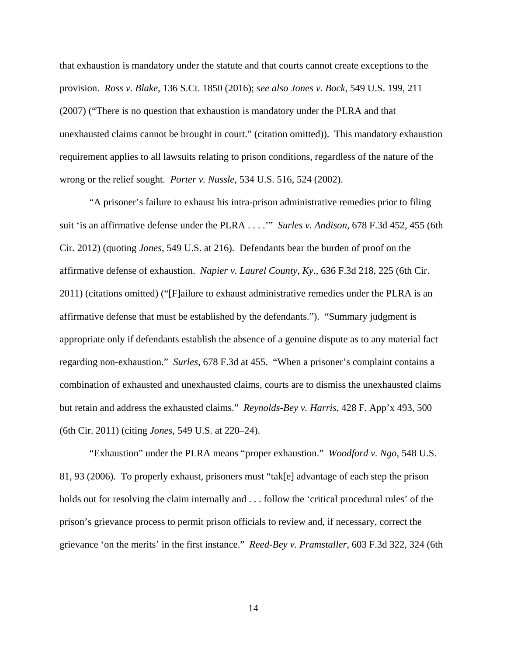that exhaustion is mandatory under the statute and that courts cannot create exceptions to the provision. *Ross v. Blake*, 136 S.Ct. 1850 (2016); *see also Jones v. Bock*, 549 U.S. 199, 211 (2007) ("There is no question that exhaustion is mandatory under the PLRA and that unexhausted claims cannot be brought in court." (citation omitted)). This mandatory exhaustion requirement applies to all lawsuits relating to prison conditions, regardless of the nature of the wrong or the relief sought. *Porter v. Nussle*, 534 U.S. 516, 524 (2002).

"A prisoner's failure to exhaust his intra-prison administrative remedies prior to filing suit 'is an affirmative defense under the PLRA . . . .'" *Surles v. Andison*, 678 F.3d 452, 455 (6th Cir. 2012) (quoting *Jones*, 549 U.S. at 216). Defendants bear the burden of proof on the affirmative defense of exhaustion. *Napier v. Laurel County, Ky.*, 636 F.3d 218, 225 (6th Cir. 2011) (citations omitted) ("[F]ailure to exhaust administrative remedies under the PLRA is an affirmative defense that must be established by the defendants."). "Summary judgment is appropriate only if defendants establish the absence of a genuine dispute as to any material fact regarding non-exhaustion." *Surles*, 678 F.3d at 455. "When a prisoner's complaint contains a combination of exhausted and unexhausted claims, courts are to dismiss the unexhausted claims but retain and address the exhausted claims." *Reynolds-Bey v. Harris*, 428 F. App'x 493, 500 (6th Cir. 2011) (citing *Jones*, 549 U.S. at 220–24).

"Exhaustion" under the PLRA means "proper exhaustion." *Woodford v. Ngo*, 548 U.S. 81, 93 (2006). To properly exhaust, prisoners must "tak[e] advantage of each step the prison holds out for resolving the claim internally and . . . follow the 'critical procedural rules' of the prison's grievance process to permit prison officials to review and, if necessary, correct the grievance 'on the merits' in the first instance." *Reed-Bey v. Pramstaller*, 603 F.3d 322, 324 (6th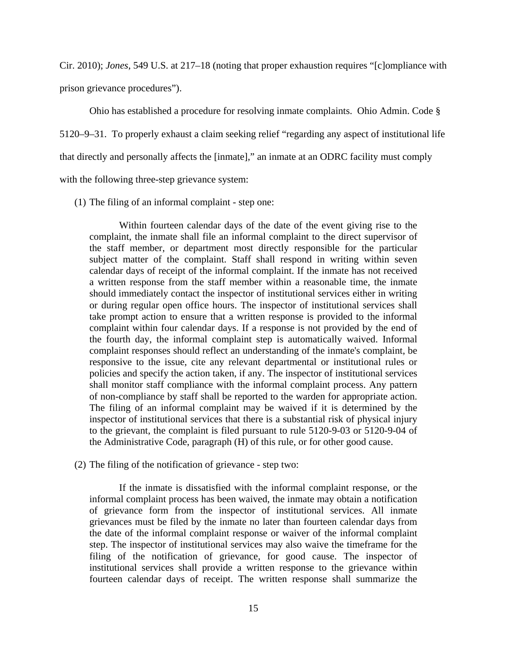Cir. 2010); *Jones*, 549 U.S. at 217–18 (noting that proper exhaustion requires "[c]ompliance with prison grievance procedures").

Ohio has established a procedure for resolving inmate complaints. Ohio Admin. Code § 5120–9–31. To properly exhaust a claim seeking relief "regarding any aspect of institutional life that directly and personally affects the [inmate]," an inmate at an ODRC facility must comply with the following three-step grievance system:

(1) The filing of an informal complaint - step one:

Within fourteen calendar days of the date of the event giving rise to the complaint, the inmate shall file an informal complaint to the direct supervisor of the staff member, or department most directly responsible for the particular subject matter of the complaint. Staff shall respond in writing within seven calendar days of receipt of the informal complaint. If the inmate has not received a written response from the staff member within a reasonable time, the inmate should immediately contact the inspector of institutional services either in writing or during regular open office hours. The inspector of institutional services shall take prompt action to ensure that a written response is provided to the informal complaint within four calendar days. If a response is not provided by the end of the fourth day, the informal complaint step is automatically waived. Informal complaint responses should reflect an understanding of the inmate's complaint, be responsive to the issue, cite any relevant departmental or institutional rules or policies and specify the action taken, if any. The inspector of institutional services shall monitor staff compliance with the informal complaint process. Any pattern of non-compliance by staff shall be reported to the warden for appropriate action. The filing of an informal complaint may be waived if it is determined by the inspector of institutional services that there is a substantial risk of physical injury to the grievant, the complaint is filed pursuant to rule 5120-9-03 or 5120-9-04 of the Administrative Code, paragraph (H) of this rule, or for other good cause.

(2) The filing of the notification of grievance - step two:

If the inmate is dissatisfied with the informal complaint response, or the informal complaint process has been waived, the inmate may obtain a notification of grievance form from the inspector of institutional services. All inmate grievances must be filed by the inmate no later than fourteen calendar days from the date of the informal complaint response or waiver of the informal complaint step. The inspector of institutional services may also waive the timeframe for the filing of the notification of grievance, for good cause. The inspector of institutional services shall provide a written response to the grievance within fourteen calendar days of receipt. The written response shall summarize the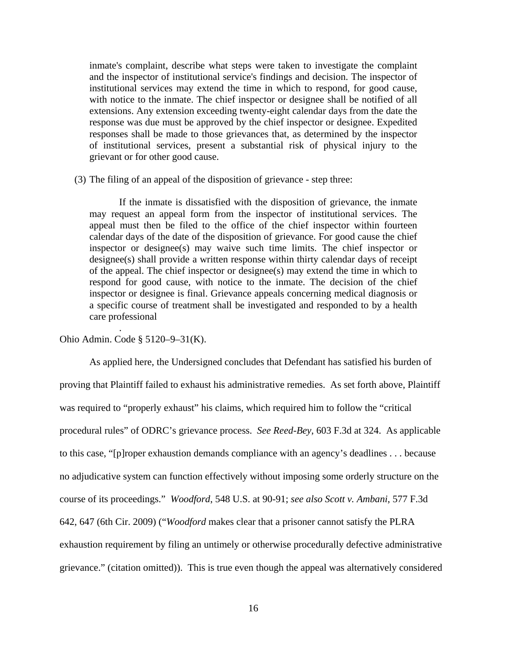inmate's complaint, describe what steps were taken to investigate the complaint and the inspector of institutional service's findings and decision. The inspector of institutional services may extend the time in which to respond, for good cause, with notice to the inmate. The chief inspector or designee shall be notified of all extensions. Any extension exceeding twenty-eight calendar days from the date the response was due must be approved by the chief inspector or designee. Expedited responses shall be made to those grievances that, as determined by the inspector of institutional services, present a substantial risk of physical injury to the grievant or for other good cause.

(3) The filing of an appeal of the disposition of grievance - step three:

If the inmate is dissatisfied with the disposition of grievance, the inmate may request an appeal form from the inspector of institutional services. The appeal must then be filed to the office of the chief inspector within fourteen calendar days of the date of the disposition of grievance. For good cause the chief inspector or designee(s) may waive such time limits. The chief inspector or designee(s) shall provide a written response within thirty calendar days of receipt of the appeal. The chief inspector or designee(s) may extend the time in which to respond for good cause, with notice to the inmate. The decision of the chief inspector or designee is final. Grievance appeals concerning medical diagnosis or a specific course of treatment shall be investigated and responded to by a health care professional

Ohio Admin. Code § 5120–9–31(K).

.

 As applied here, the Undersigned concludes that Defendant has satisfied his burden of proving that Plaintiff failed to exhaust his administrative remedies. As set forth above, Plaintiff was required to "properly exhaust" his claims, which required him to follow the "critical" procedural rules" of ODRC's grievance process. *See Reed-Bey*, 603 F.3d at 324. As applicable to this case, "[p]roper exhaustion demands compliance with an agency's deadlines . . . because no adjudicative system can function effectively without imposing some orderly structure on the course of its proceedings." *Woodford*, 548 U.S. at 90-91; *see also Scott v. Ambani*, 577 F.3d 642, 647 (6th Cir. 2009) ("*Woodford* makes clear that a prisoner cannot satisfy the PLRA exhaustion requirement by filing an untimely or otherwise procedurally defective administrative grievance." (citation omitted)). This is true even though the appeal was alternatively considered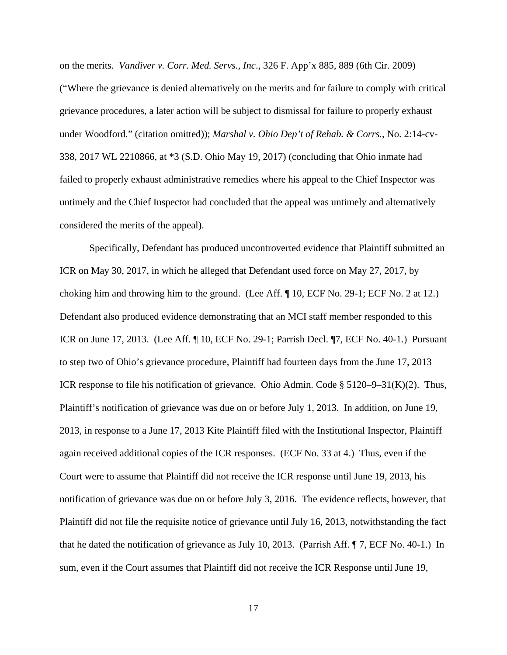on the merits. *Vandiver v. Corr. Med. Servs., Inc*., 326 F. App'x 885, 889 (6th Cir. 2009) ("Where the grievance is denied alternatively on the merits and for failure to comply with critical grievance procedures, a later action will be subject to dismissal for failure to properly exhaust under Woodford." (citation omitted)); *Marshal v. Ohio Dep't of Rehab. & Corrs.*, No. 2:14-cv-338, 2017 WL 2210866, at \*3 (S.D. Ohio May 19, 2017) (concluding that Ohio inmate had failed to properly exhaust administrative remedies where his appeal to the Chief Inspector was untimely and the Chief Inspector had concluded that the appeal was untimely and alternatively considered the merits of the appeal).

 Specifically, Defendant has produced uncontroverted evidence that Plaintiff submitted an ICR on May 30, 2017, in which he alleged that Defendant used force on May 27, 2017, by choking him and throwing him to the ground. (Lee Aff. ¶ 10, ECF No. 29-1; ECF No. 2 at 12.) Defendant also produced evidence demonstrating that an MCI staff member responded to this ICR on June 17, 2013. (Lee Aff. ¶ 10, ECF No. 29-1; Parrish Decl. ¶7, ECF No. 40-1.) Pursuant to step two of Ohio's grievance procedure, Plaintiff had fourteen days from the June 17, 2013 ICR response to file his notification of grievance. Ohio Admin. Code § 5120–9–31(K)(2). Thus, Plaintiff's notification of grievance was due on or before July 1, 2013. In addition, on June 19, 2013, in response to a June 17, 2013 Kite Plaintiff filed with the Institutional Inspector, Plaintiff again received additional copies of the ICR responses. (ECF No. 33 at 4.) Thus, even if the Court were to assume that Plaintiff did not receive the ICR response until June 19, 2013, his notification of grievance was due on or before July 3, 2016. The evidence reflects, however, that Plaintiff did not file the requisite notice of grievance until July 16, 2013, notwithstanding the fact that he dated the notification of grievance as July 10, 2013. (Parrish Aff. ¶ 7, ECF No. 40-1.) In sum, even if the Court assumes that Plaintiff did not receive the ICR Response until June 19,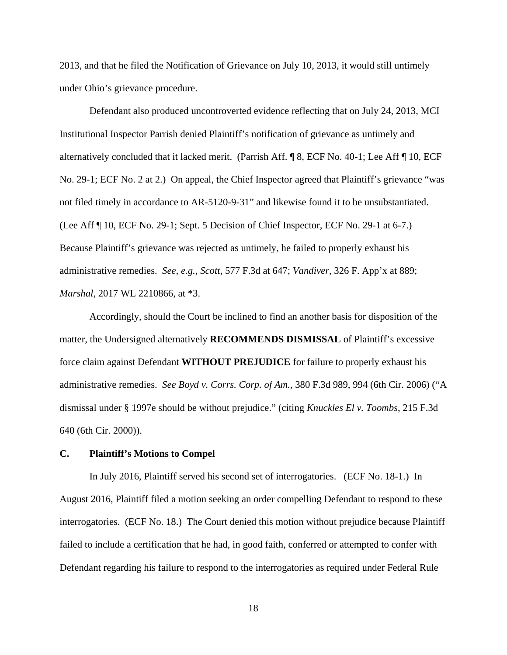2013, and that he filed the Notification of Grievance on July 10, 2013, it would still untimely under Ohio's grievance procedure.

 Defendant also produced uncontroverted evidence reflecting that on July 24, 2013, MCI Institutional Inspector Parrish denied Plaintiff's notification of grievance as untimely and alternatively concluded that it lacked merit. (Parrish Aff. ¶ 8, ECF No. 40-1; Lee Aff ¶ 10, ECF No. 29-1; ECF No. 2 at 2.) On appeal, the Chief Inspector agreed that Plaintiff's grievance "was not filed timely in accordance to AR-5120-9-31" and likewise found it to be unsubstantiated. (Lee Aff ¶ 10, ECF No. 29-1; Sept. 5 Decision of Chief Inspector, ECF No. 29-1 at 6-7.) Because Plaintiff's grievance was rejected as untimely, he failed to properly exhaust his administrative remedies. *See, e.g.*, *Scott*, 577 F.3d at 647; *Vandiver*, 326 F. App'x at 889; *Marshal*, 2017 WL 2210866, at \*3.

 Accordingly, should the Court be inclined to find an another basis for disposition of the matter, the Undersigned alternatively **RECOMMENDS DISMISSAL** of Plaintiff's excessive force claim against Defendant **WITHOUT PREJUDICE** for failure to properly exhaust his administrative remedies. *See Boyd v. Corrs. Corp. of Am.*, 380 F.3d 989, 994 (6th Cir. 2006) ("A dismissal under § 1997e should be without prejudice." (citing *Knuckles El v. Toombs*, 215 F.3d 640 (6th Cir. 2000)).

### **C. Plaintiff's Motions to Compel**

 In July 2016, Plaintiff served his second set of interrogatories. (ECF No. 18-1.) In August 2016, Plaintiff filed a motion seeking an order compelling Defendant to respond to these interrogatories. (ECF No. 18.) The Court denied this motion without prejudice because Plaintiff failed to include a certification that he had, in good faith, conferred or attempted to confer with Defendant regarding his failure to respond to the interrogatories as required under Federal Rule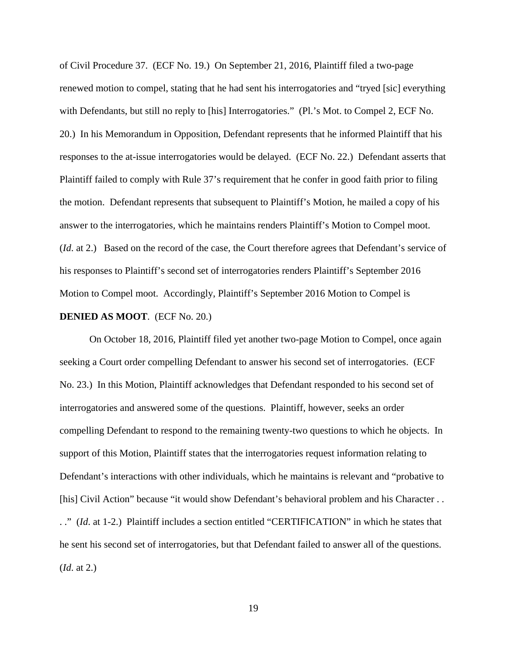of Civil Procedure 37. (ECF No. 19.) On September 21, 2016, Plaintiff filed a two-page renewed motion to compel, stating that he had sent his interrogatories and "tryed [sic] everything with Defendants, but still no reply to [his] Interrogatories." (Pl.'s Mot. to Compel 2, ECF No. 20.) In his Memorandum in Opposition, Defendant represents that he informed Plaintiff that his responses to the at-issue interrogatories would be delayed. (ECF No. 22.) Defendant asserts that Plaintiff failed to comply with Rule 37's requirement that he confer in good faith prior to filing the motion. Defendant represents that subsequent to Plaintiff's Motion, he mailed a copy of his answer to the interrogatories, which he maintains renders Plaintiff's Motion to Compel moot. (*Id*. at 2.) Based on the record of the case, the Court therefore agrees that Defendant's service of his responses to Plaintiff's second set of interrogatories renders Plaintiff's September 2016 Motion to Compel moot. Accordingly, Plaintiff's September 2016 Motion to Compel is **DENIED AS MOOT**. (ECF No. 20.)

On October 18, 2016, Plaintiff filed yet another two-page Motion to Compel, once again seeking a Court order compelling Defendant to answer his second set of interrogatories. (ECF No. 23.) In this Motion, Plaintiff acknowledges that Defendant responded to his second set of interrogatories and answered some of the questions. Plaintiff, however, seeks an order compelling Defendant to respond to the remaining twenty-two questions to which he objects. In support of this Motion, Plaintiff states that the interrogatories request information relating to Defendant's interactions with other individuals, which he maintains is relevant and "probative to [his] Civil Action" because "it would show Defendant's behavioral problem and his Character . . . ." (*Id*. at 1-2.) Plaintiff includes a section entitled "CERTIFICATION" in which he states that he sent his second set of interrogatories, but that Defendant failed to answer all of the questions. (*Id*. at 2.)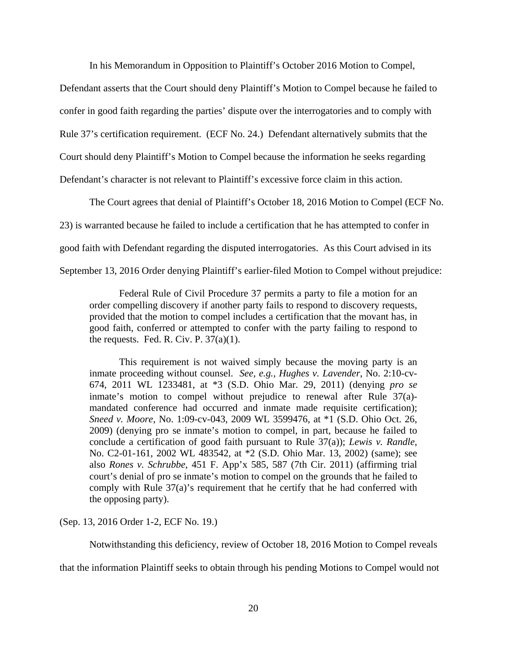In his Memorandum in Opposition to Plaintiff's October 2016 Motion to Compel,

Defendant asserts that the Court should deny Plaintiff's Motion to Compel because he failed to confer in good faith regarding the parties' dispute over the interrogatories and to comply with Rule 37's certification requirement. (ECF No. 24.) Defendant alternatively submits that the Court should deny Plaintiff's Motion to Compel because the information he seeks regarding Defendant's character is not relevant to Plaintiff's excessive force claim in this action.

The Court agrees that denial of Plaintiff's October 18, 2016 Motion to Compel (ECF No.

23) is warranted because he failed to include a certification that he has attempted to confer in

good faith with Defendant regarding the disputed interrogatories. As this Court advised in its

September 13, 2016 Order denying Plaintiff's earlier-filed Motion to Compel without prejudice:

Federal Rule of Civil Procedure 37 permits a party to file a motion for an order compelling discovery if another party fails to respond to discovery requests, provided that the motion to compel includes a certification that the movant has, in good faith, conferred or attempted to confer with the party failing to respond to the requests. Fed. R. Civ. P.  $37(a)(1)$ .

This requirement is not waived simply because the moving party is an inmate proceeding without counsel. *See, e.g., Hughes v. Lavender*, No. 2:10-cv-674, 2011 WL 1233481, at \*3 (S.D. Ohio Mar. 29, 2011) (denying *pro se* inmate's motion to compel without prejudice to renewal after Rule 37(a) mandated conference had occurred and inmate made requisite certification); *Sneed v. Moore*, No. 1:09-cv-043, 2009 WL 3599476, at \*1 (S.D. Ohio Oct. 26, 2009) (denying pro se inmate's motion to compel, in part, because he failed to conclude a certification of good faith pursuant to Rule 37(a)); *Lewis v. Randle*, No. C2-01-161, 2002 WL 483542, at \*2 (S.D. Ohio Mar. 13, 2002) (same); see also *Rones v. Schrubbe*, 451 F. App'x 585, 587 (7th Cir. 2011) (affirming trial court's denial of pro se inmate's motion to compel on the grounds that he failed to comply with Rule 37(a)'s requirement that he certify that he had conferred with the opposing party).

(Sep. 13, 2016 Order 1-2, ECF No. 19.)

Notwithstanding this deficiency, review of October 18, 2016 Motion to Compel reveals

that the information Plaintiff seeks to obtain through his pending Motions to Compel would not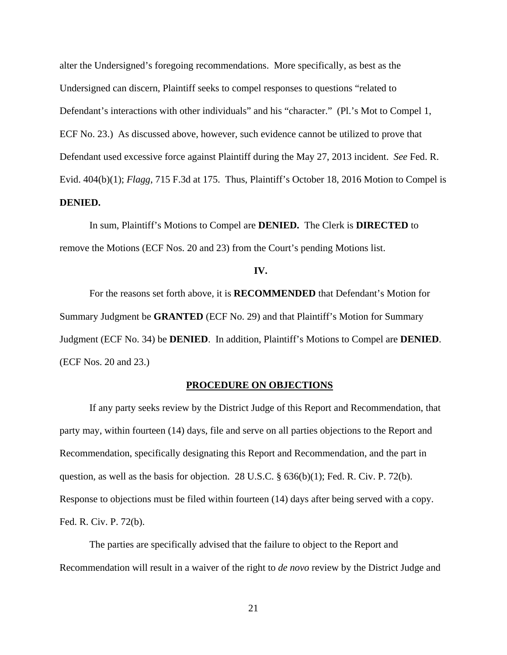alter the Undersigned's foregoing recommendations. More specifically, as best as the Undersigned can discern, Plaintiff seeks to compel responses to questions "related to Defendant's interactions with other individuals" and his "character." (Pl.'s Mot to Compel 1, ECF No. 23.) As discussed above, however, such evidence cannot be utilized to prove that Defendant used excessive force against Plaintiff during the May 27, 2013 incident. *See* Fed. R. Evid. 404(b)(1); *Flagg*, 715 F.3d at 175. Thus, Plaintiff's October 18, 2016 Motion to Compel is **DENIED.** 

 In sum, Plaintiff's Motions to Compel are **DENIED.** The Clerk is **DIRECTED** to remove the Motions (ECF Nos. 20 and 23) from the Court's pending Motions list.

**IV.** 

 For the reasons set forth above, it is **RECOMMENDED** that Defendant's Motion for Summary Judgment be **GRANTED** (ECF No. 29) and that Plaintiff's Motion for Summary Judgment (ECF No. 34) be **DENIED**. In addition, Plaintiff's Motions to Compel are **DENIED**. (ECF Nos. 20 and 23.)

#### **PROCEDURE ON OBJECTIONS**

 If any party seeks review by the District Judge of this Report and Recommendation, that party may, within fourteen (14) days, file and serve on all parties objections to the Report and Recommendation, specifically designating this Report and Recommendation, and the part in question, as well as the basis for objection. 28 U.S.C.  $\S$  636(b)(1); Fed. R. Civ. P. 72(b). Response to objections must be filed within fourteen (14) days after being served with a copy. Fed. R. Civ. P. 72(b).

The parties are specifically advised that the failure to object to the Report and Recommendation will result in a waiver of the right to *de novo* review by the District Judge and